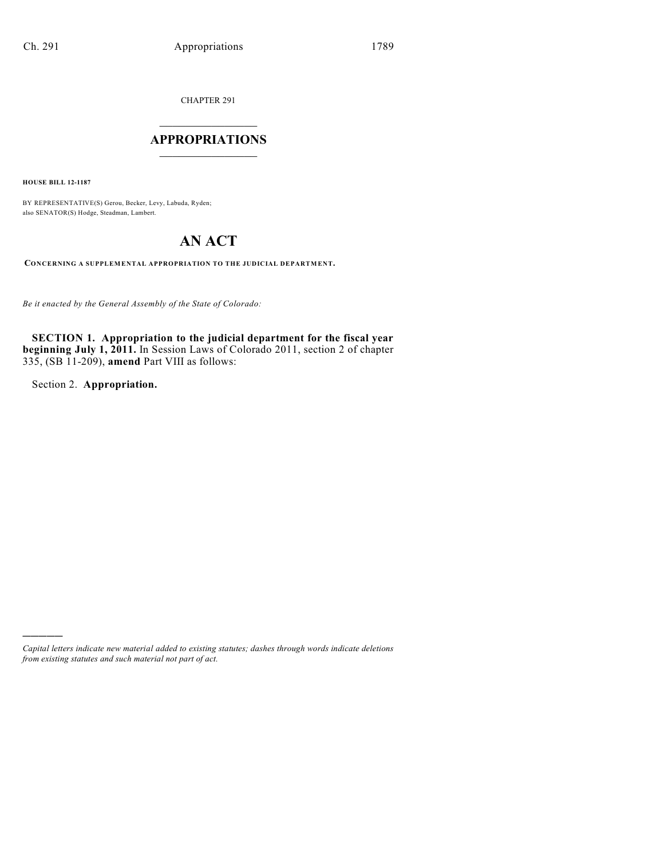CHAPTER 291

## $\mathcal{L}_\text{max}$  . The set of the set of the set of the set of the set of the set of the set of the set of the set of the set of the set of the set of the set of the set of the set of the set of the set of the set of the set **APPROPRIATIONS**  $\_$   $\_$   $\_$   $\_$   $\_$   $\_$   $\_$   $\_$

**HOUSE BILL 12-1187**

BY REPRESENTATIVE(S) Gerou, Becker, Levy, Labuda, Ryden; also SENATOR(S) Hodge, Steadman, Lambert.

# **AN ACT**

**CONCERNING A SUPPLEMENTAL APPROPRIATION TO THE JUDICIAL DEPARTMENT.**

*Be it enacted by the General Assembly of the State of Colorado:*

**SECTION 1. Appropriation to the judicial department for the fiscal year beginning July 1, 2011.** In Session Laws of Colorado 2011, section 2 of chapter 335, (SB 11-209), **amend** Part VIII as follows:

Section 2. **Appropriation.**

)))))

*Capital letters indicate new material added to existing statutes; dashes through words indicate deletions from existing statutes and such material not part of act.*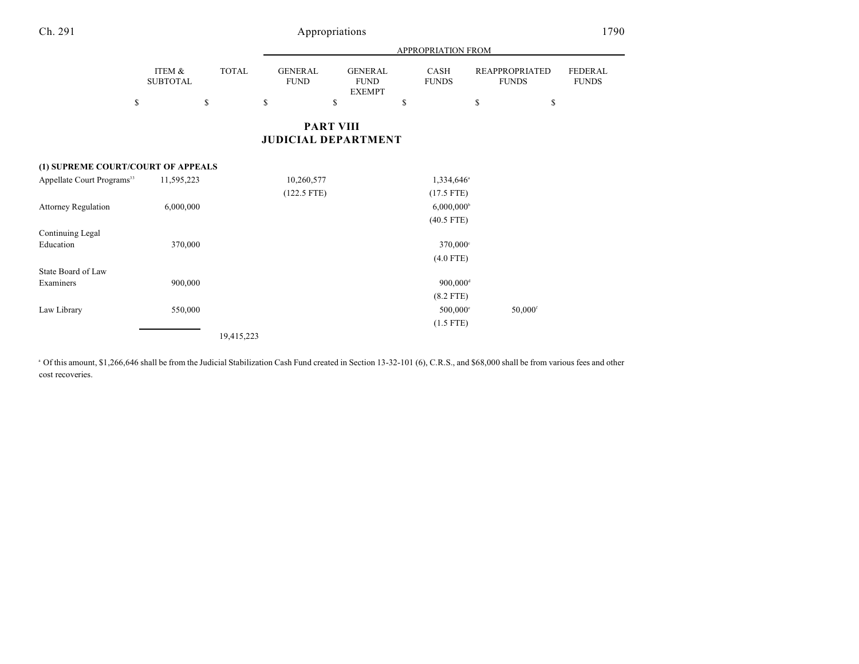|                                        |                           |                              |                                     |                                                      | APPROPRIATION FROM         |                                             |                                      |
|----------------------------------------|---------------------------|------------------------------|-------------------------------------|------------------------------------------------------|----------------------------|---------------------------------------------|--------------------------------------|
| \$                                     | ITEM &<br><b>SUBTOTAL</b> | <b>TOTAL</b><br>$\mathbb{S}$ | <b>GENERAL</b><br><b>FUND</b><br>\$ | <b>GENERAL</b><br><b>FUND</b><br><b>EXEMPT</b><br>\$ | CASH<br><b>FUNDS</b><br>\$ | <b>REAPPROPRIATED</b><br><b>FUNDS</b><br>\$ | <b>FEDERAL</b><br><b>FUNDS</b><br>\$ |
|                                        |                           |                              | <b>JUDICIAL DEPARTMENT</b>          | <b>PART VIII</b>                                     |                            |                                             |                                      |
| (1) SUPREME COURT/COURT OF APPEALS     |                           |                              |                                     |                                                      |                            |                                             |                                      |
| Appellate Court Programs <sup>33</sup> | 11,595,223                |                              | 10,260,577                          |                                                      | 1,334,646 <sup>a</sup>     |                                             |                                      |
|                                        |                           |                              | $(122.5$ FTE)                       |                                                      | $(17.5$ FTE)               |                                             |                                      |
| <b>Attorney Regulation</b>             | 6,000,000                 |                              |                                     |                                                      | $6,000,000$ <sup>b</sup>   |                                             |                                      |
|                                        |                           |                              |                                     |                                                      | $(40.5$ FTE)               |                                             |                                      |
| Continuing Legal                       |                           |                              |                                     |                                                      |                            |                                             |                                      |
| Education                              | 370,000                   |                              |                                     |                                                      | 370,000°                   |                                             |                                      |
|                                        |                           |                              |                                     |                                                      | $(4.0$ FTE)                |                                             |                                      |
| State Board of Law                     |                           |                              |                                     |                                                      |                            |                                             |                                      |
| Examiners                              | 900,000                   |                              |                                     |                                                      | $900,000$ <sup>d</sup>     |                                             |                                      |
|                                        |                           |                              |                                     |                                                      | $(8.2$ FTE)                |                                             |                                      |
| Law Library                            | 550,000                   |                              |                                     |                                                      | $500,000$ <sup>c</sup>     | $50,000$ <sup>f</sup>                       |                                      |
|                                        |                           |                              |                                     |                                                      | $(1.5$ FTE)                |                                             |                                      |
|                                        |                           | 19,415,223                   |                                     |                                                      |                            |                                             |                                      |

<sup>a</sup> Of this amount, \$1,266,646 shall be from the Judicial Stabilization Cash Fund created in Section 13-32-101 (6), C.R.S., and \$68,000 shall be from various fees and other cost recoveries.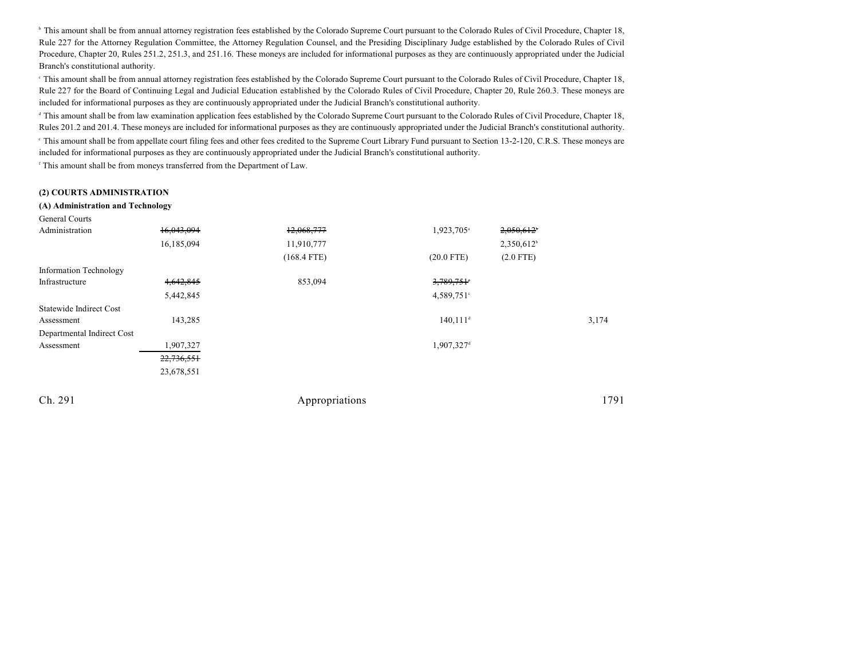<sup>b</sup> This amount shall be from annual attorney registration fees established by the Colorado Supreme Court pursuant to the Colorado Rules of Civil Procedure, Chapter 18, Rule 227 for the Attorney Regulation Committee, the Attorney Regulation Counsel, and the Presiding Disciplinary Judge established by the Colorado Rules of Civil Procedure, Chapter 20, Rules 251.2, 251.3, and 251.16. These moneys are included for informational purposes as they are continuously appropriated under the Judicial Branch's constitutional authority.

This amount shall be from annual attorney registration fees established by the Colorado Supreme Court pursuant to the Colorado Rules of Civil Procedure, Chapter 18, Rule 227 for the Board of Continuing Legal and Judicial Education established by the Colorado Rules of Civil Procedure, Chapter 20, Rule 260.3. These moneys are included for informational purposes as they are continuously appropriated under the Judicial Branch's constitutional authority.

<sup>d</sup> This amount shall be from law examination application fees established by the Colorado Supreme Court pursuant to the Colorado Rules of Civil Procedure, Chapter 18, Rules 201.2 and 201.4. These moneys are included for informational purposes as they are continuously appropriated under the Judicial Branch's constitutional authority.

<sup>e</sup> This amount shall be from appellate court filing fees and other fees credited to the Supreme Court Library Fund pursuant to Section 13-2-120, C.R.S. These moneys are included for informational purposes as they are continuously appropriated under the Judicial Branch's constitutional authority.

<sup>f</sup> This amount shall be from moneys transferred from the Department of Law.

#### **(2) COURTS ADMINISTRATION**

#### **(A) Administration and Technology**

| General Courts                |            |               |                         |                          |       |
|-------------------------------|------------|---------------|-------------------------|--------------------------|-------|
| Administration                | 16,043,094 | 12,068,777    | 1,923,705 <sup>a</sup>  | $2,050,612$ <sup>*</sup> |       |
|                               | 16,185,094 | 11,910,777    |                         | $2,350,612$ <sup>b</sup> |       |
|                               |            | $(168.4$ FTE) | $(20.0$ FTE)            | $(2.0$ FTE)              |       |
| <b>Information Technology</b> |            |               |                         |                          |       |
| Infrastructure                | 4,642,845  | 853,094       | 3,789,751               |                          |       |
|                               | 5,442,845  |               | $4,589,751$ °           |                          |       |
| Statewide Indirect Cost       |            |               |                         |                          |       |
| Assessment                    | 143,285    |               | $140, 111$ <sup>d</sup> |                          | 3,174 |
| Departmental Indirect Cost    |            |               |                         |                          |       |
| Assessment                    | 1,907,327  |               | 1,907,327 <sup>d</sup>  |                          |       |
|                               | 22,736,551 |               |                         |                          |       |
|                               | 23,678,551 |               |                         |                          |       |
|                               |            |               |                         |                          |       |
|                               |            |               |                         |                          |       |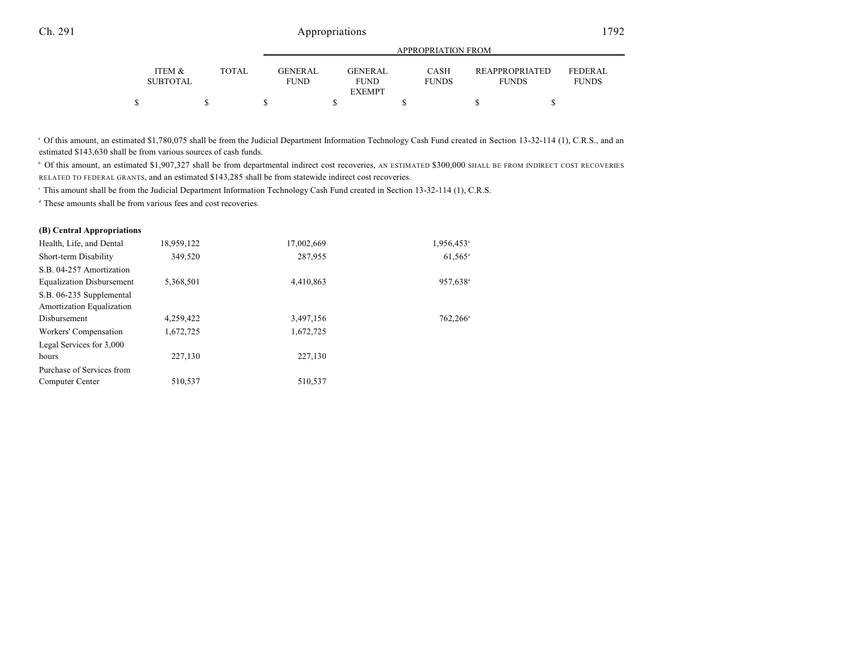|   |                           |       | APPROPRIATION FROM             |  |                          |  |                             |  |                                       |                                |  |
|---|---------------------------|-------|--------------------------------|--|--------------------------|--|-----------------------------|--|---------------------------------------|--------------------------------|--|
|   | ITEM &<br><b>SUBTOTAL</b> | TOTAL | <b>GENER AL</b><br><b>FUND</b> |  | GENER AL.<br><b>FUND</b> |  | <b>CASH</b><br><b>FUNDS</b> |  | <b>REAPPROPRIATED</b><br><b>FUNDS</b> | <b>FEDERAL</b><br><b>FUNDS</b> |  |
|   |                           |       |                                |  | <b>EXEMPT</b>            |  |                             |  |                                       |                                |  |
| ፍ |                           |       |                                |  |                          |  |                             |  |                                       |                                |  |

<sup>a</sup> Of this amount, an estimated \$1,780,075 shall be from the Judicial Department Information Technology Cash Fund created in Section 13-32-114 (1), C.R.S., and an estimated \$143,630 shall be from various sources of cash funds.

 $\degree$  Of this amount, an estimated \$1,907,327 shall be from departmental indirect cost recoveries, AN ESTIMATED \$300,000 SHALL BE FROM INDIRECT COST RECOVERIES RELATED TO FEDERAL GRANTS, and an estimated \$143,285 shall be from statewide indirect cost recoveries.

This amount shall be from the Judicial Department Information Technology Cash Fund created in Section 13-32-114 (1), C.R.S. <sup>c</sup>

<sup>d</sup> These amounts shall be from various fees and cost recoveries.

#### **(B) Central Appropriations**

| Health, Life, and Dental         | 18,959,122 | 17,002,669 | 1,956,453 <sup>a</sup> |
|----------------------------------|------------|------------|------------------------|
| Short-term Disability            | 349,520    | 287,955    | $61,565$ <sup>a</sup>  |
| S.B. 04-257 Amortization         |            |            |                        |
| <b>Equalization Disbursement</b> | 5,368,501  | 4,410,863  | 957,638 <sup>a</sup>   |
| S.B. 06-235 Supplemental         |            |            |                        |
| Amortization Equalization        |            |            |                        |
| Disbursement                     | 4,259,422  | 3,497,156  | $762.266^{\circ}$      |
| Workers' Compensation            | 1,672,725  | 1,672,725  |                        |
| Legal Services for 3,000         |            |            |                        |
| hours                            | 227.130    | 227,130    |                        |
| Purchase of Services from        |            |            |                        |
| Computer Center                  | 510.537    | 510,537    |                        |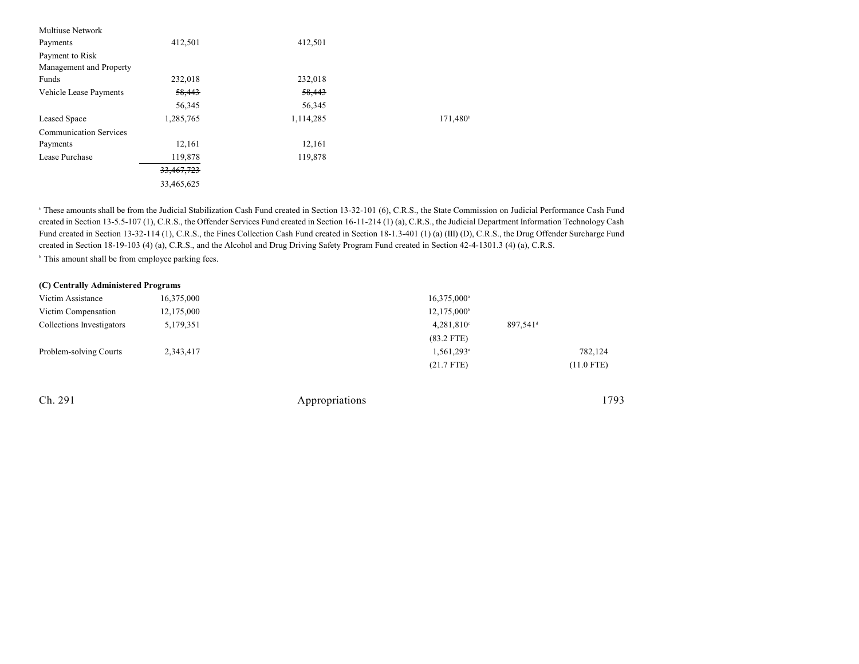| <b>Multiuse Network</b>       |            |           |                      |
|-------------------------------|------------|-----------|----------------------|
| Payments                      | 412,501    | 412,501   |                      |
| Payment to Risk               |            |           |                      |
| Management and Property       |            |           |                      |
| Funds                         | 232,018    | 232,018   |                      |
| <b>Vehicle Lease Payments</b> | 58,443     | 58,443    |                      |
|                               | 56,345     | 56,345    |                      |
| Leased Space                  | 1,285,765  | 1,114,285 | 171,480 <sup>b</sup> |
| <b>Communication Services</b> |            |           |                      |
| Payments                      | 12,161     | 12,161    |                      |
| Lease Purchase                | 119,878    | 119,878   |                      |
|                               | 33,467,723 |           |                      |
|                               | 33,465,625 |           |                      |

 These amounts shall be from the Judicial Stabilization Cash Fund created in Section 13-32-101 (6), C.R.S., the State Commission on Judicial Performance Cash Fund a created in Section 13-5.5-107 (1), C.R.S., the Offender Services Fund created in Section 16-11-214 (1) (a), C.R.S., the Judicial Department Information Technology Cash Fund created in Section 13-32-114 (1), C.R.S., the Fines Collection Cash Fund created in Section 18-1.3-401 (1) (a) (III) (D), C.R.S., the Drug Offender Surcharge Fund created in Section 18-19-103 (4) (a), C.R.S., and the Alcohol and Drug Driving Safety Program Fund created in Section 42-4-1301.3 (4) (a), C.R.S.

 $\degree$  This amount shall be from employee parking fees.

| (C) Centrally Administered Programs |            |                                    |              |  |  |  |  |  |
|-------------------------------------|------------|------------------------------------|--------------|--|--|--|--|--|
| Victim Assistance                   | 16,375,000 | $16,375,000^{\circ}$               |              |  |  |  |  |  |
| Victim Compensation                 | 12,175,000 | 12,175,000 <sup>b</sup>            |              |  |  |  |  |  |
| Collections Investigators           | 5,179,351  | 897,541 <sup>d</sup><br>4,281,810° |              |  |  |  |  |  |
|                                     |            | $(83.2$ FTE)                       |              |  |  |  |  |  |
| Problem-solving Courts              | 2,343,417  | $1,561,293$ <sup>e</sup>           | 782,124      |  |  |  |  |  |
|                                     |            | $(21.7$ FTE)                       | $(11.0$ FTE) |  |  |  |  |  |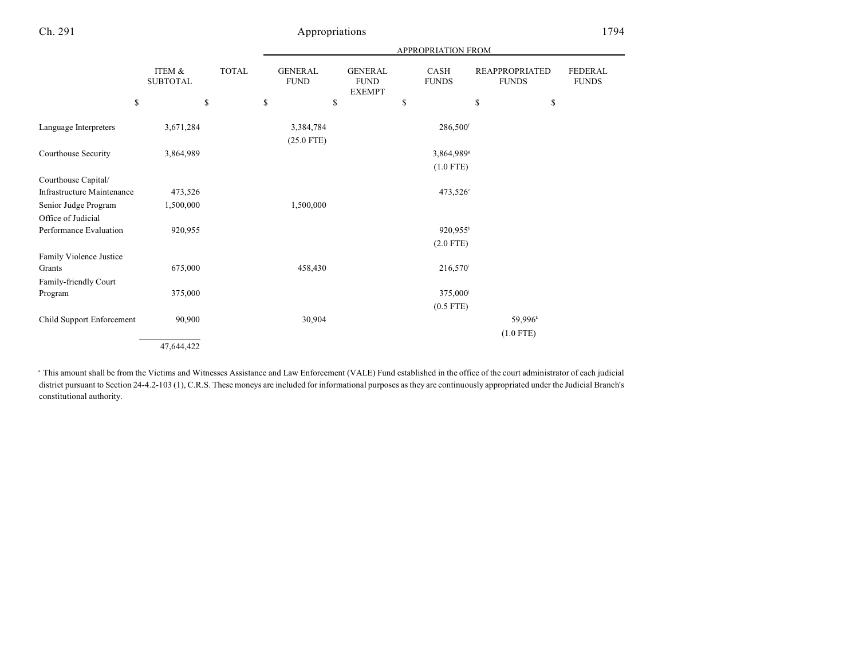|                            |                                 |              |                                     |                                                      | <b>APPROPRIATION FROM</b>  |                                                   |                                |
|----------------------------|---------------------------------|--------------|-------------------------------------|------------------------------------------------------|----------------------------|---------------------------------------------------|--------------------------------|
| \$                         | ITEM &<br><b>SUBTOTAL</b><br>\$ | <b>TOTAL</b> | <b>GENERAL</b><br><b>FUND</b><br>\$ | <b>GENERAL</b><br><b>FUND</b><br><b>EXEMPT</b><br>\$ | CASH<br><b>FUNDS</b><br>\$ | <b>REAPPROPRIATED</b><br><b>FUNDS</b><br>\$<br>\$ | <b>FEDERAL</b><br><b>FUNDS</b> |
|                            |                                 |              |                                     |                                                      |                            |                                                   |                                |
| Language Interpreters      | 3,671,284                       |              | 3,384,784<br>$(25.0$ FTE)           |                                                      | $286,500$ <sup>f</sup>     |                                                   |                                |
| Courthouse Security        | 3,864,989                       |              |                                     |                                                      | 3,864,989 <sup>s</sup>     |                                                   |                                |
|                            |                                 |              |                                     |                                                      | $(1.0$ FTE)                |                                                   |                                |
| Courthouse Capital/        |                                 |              |                                     |                                                      |                            |                                                   |                                |
| Infrastructure Maintenance | 473,526                         |              |                                     |                                                      | 473,526 <sup>c</sup>       |                                                   |                                |
| Senior Judge Program       | 1,500,000                       |              | 1,500,000                           |                                                      |                            |                                                   |                                |
| Office of Judicial         |                                 |              |                                     |                                                      |                            |                                                   |                                |
| Performance Evaluation     | 920,955                         |              |                                     |                                                      | 920,955h                   |                                                   |                                |
|                            |                                 |              |                                     |                                                      | $(2.0$ FTE)                |                                                   |                                |
| Family Violence Justice    |                                 |              |                                     |                                                      |                            |                                                   |                                |
| Grants                     | 675,000                         |              | 458,430                             |                                                      | 216,570                    |                                                   |                                |
| Family-friendly Court      |                                 |              |                                     |                                                      |                            |                                                   |                                |
| Program                    | 375,000                         |              |                                     |                                                      | 375,000 <sup>i</sup>       |                                                   |                                |
|                            |                                 |              |                                     |                                                      | $(0.5$ FTE)                |                                                   |                                |
| Child Support Enforcement  | 90,900                          |              | 30,904                              |                                                      |                            | 59,996 <sup>k</sup>                               |                                |
|                            |                                 |              |                                     |                                                      |                            | $(1.0$ FTE)                                       |                                |
|                            | 47,644,422                      |              |                                     |                                                      |                            |                                                   |                                |

This amount shall be from the Victims and Witnesses Assistance and Law Enforcement (VALE) Fund established in the office of the court administrator of each judicial <sup>a</sup> district pursuant to Section 24-4.2-103 (1), C.R.S. These moneys are included for informational purposes as they are continuously appropriated under the Judicial Branch's constitutional authority.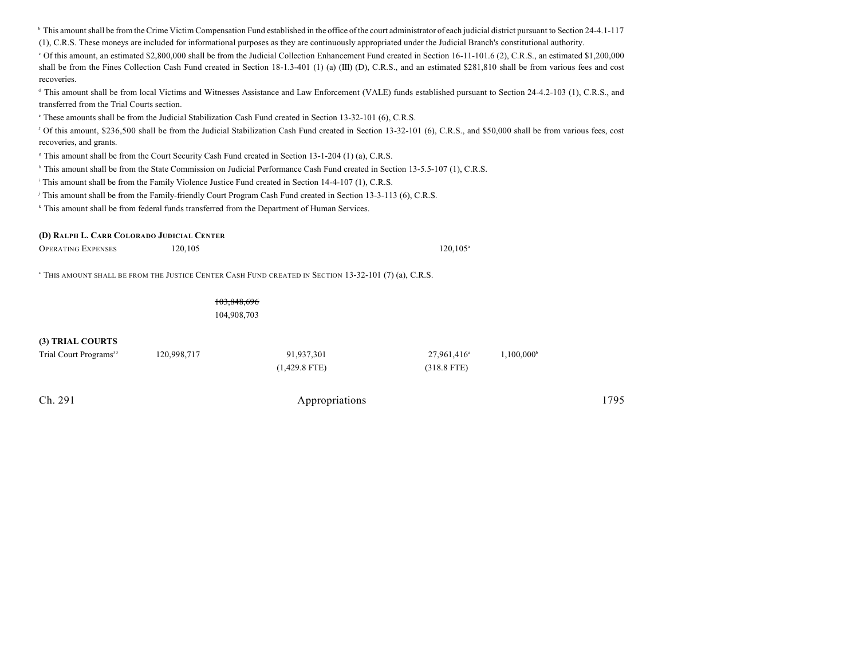|                                            |             | <sup>1</sup> This amount shall be from the Crime Victim Compensation Fund established in the office of the court administrator of each judicial district pursuant to Section 24-4.1-117 |                         |                     |      |
|--------------------------------------------|-------------|-----------------------------------------------------------------------------------------------------------------------------------------------------------------------------------------|-------------------------|---------------------|------|
|                                            |             | (1), C.R.S. These moneys are included for informational purposes as they are continuously appropriated under the Judicial Branch's constitutional authority.                            |                         |                     |      |
|                                            |             | $\epsilon$ Of this amount, an estimated \$2,800,000 shall be from the Judicial Collection Enhancement Fund created in Section 16-11-101.6 (2), C.R.S., an estimated \$1,200,000         |                         |                     |      |
|                                            |             | shall be from the Fines Collection Cash Fund created in Section 18-1.3-401 (1) (a) (III) (D), C.R.S., and an estimated \$281,810 shall be from various fees and cost                    |                         |                     |      |
| recoveries.                                |             |                                                                                                                                                                                         |                         |                     |      |
| transferred from the Trial Courts section. |             | <sup>d</sup> This amount shall be from local Victims and Witnesses Assistance and Law Enforcement (VALE) funds established pursuant to Section 24-4.2-103 (1), C.R.S., and              |                         |                     |      |
|                                            |             | <sup>e</sup> These amounts shall be from the Judicial Stabilization Cash Fund created in Section 13-32-101 (6), C.R.S.                                                                  |                         |                     |      |
| recoveries, and grants.                    |             | <sup>f</sup> Of this amount, \$236,500 shall be from the Judicial Stabilization Cash Fund created in Section 13-32-101 (6), C.R.S., and \$50,000 shall be from various fees, cost       |                         |                     |      |
|                                            |             | <sup><i>s</i></sup> This amount shall be from the Court Security Cash Fund created in Section 13-1-204 (1) (a), C.R.S.                                                                  |                         |                     |      |
|                                            |             | <sup>h</sup> This amount shall be from the State Commission on Judicial Performance Cash Fund created in Section 13-5.5-107 (1), C.R.S.                                                 |                         |                     |      |
|                                            |             | This amount shall be from the Family Violence Justice Fund created in Section 14-4-107 (1), C.R.S.                                                                                      |                         |                     |      |
|                                            |             | This amount shall be from the Family-friendly Court Program Cash Fund created in Section 13-3-113 (6), C.R.S.                                                                           |                         |                     |      |
|                                            |             | <sup>k</sup> This amount shall be from federal funds transferred from the Department of Human Services.                                                                                 |                         |                     |      |
|                                            |             |                                                                                                                                                                                         |                         |                     |      |
| (D) RALPH L. CARR COLORADO JUDICIAL CENTER |             |                                                                                                                                                                                         |                         |                     |      |
| <b>OPERATING EXPENSES</b>                  | 120,105     |                                                                                                                                                                                         | $120, 105^{\circ}$      |                     |      |
|                                            |             |                                                                                                                                                                                         |                         |                     |      |
|                                            |             | <sup>a</sup> THIS AMOUNT SHALL BE FROM THE JUSTICE CENTER CASH FUND CREATED IN SECTION 13-32-101 (7) (a), C.R.S.                                                                        |                         |                     |      |
|                                            |             |                                                                                                                                                                                         |                         |                     |      |
|                                            | 103.848.696 |                                                                                                                                                                                         |                         |                     |      |
|                                            | 104,908,703 |                                                                                                                                                                                         |                         |                     |      |
|                                            |             |                                                                                                                                                                                         |                         |                     |      |
| (3) TRIAL COURTS                           |             |                                                                                                                                                                                         |                         |                     |      |
| Trial Court Programs <sup>33</sup>         | 120,998,717 | 91,937,301                                                                                                                                                                              | 27,961,416 <sup>a</sup> | $1,100,000^{\circ}$ |      |
|                                            |             | $(1,429.8$ FTE)                                                                                                                                                                         | $(318.8$ FTE)           |                     |      |
|                                            |             |                                                                                                                                                                                         |                         |                     |      |
|                                            |             |                                                                                                                                                                                         |                         |                     |      |
| Ch. 291                                    |             | Appropriations                                                                                                                                                                          |                         |                     | 1795 |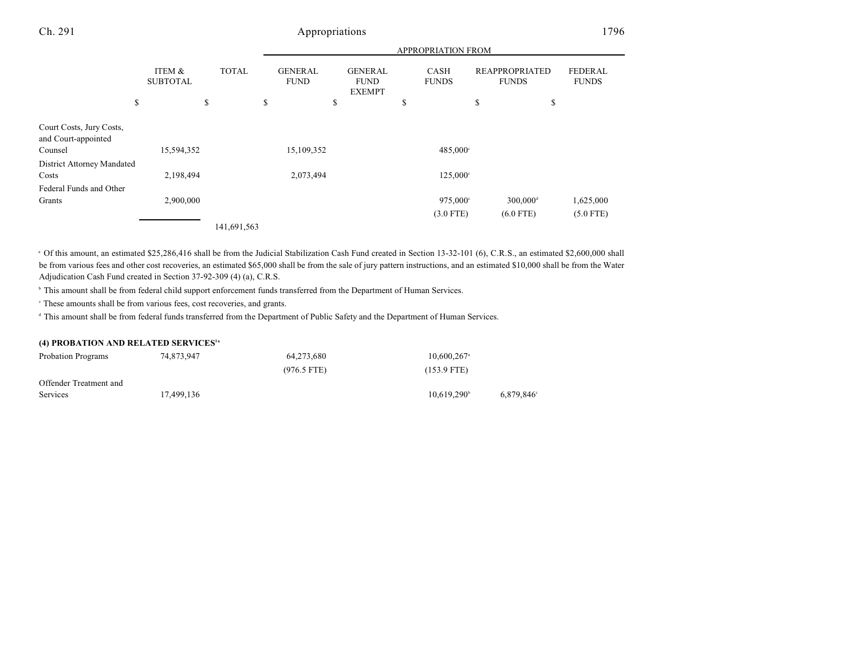|                                                 |                           |              | <b>APPROPRIATION FROM</b>     |            |    |                                                |    |                         |                                       |    |                                |
|-------------------------------------------------|---------------------------|--------------|-------------------------------|------------|----|------------------------------------------------|----|-------------------------|---------------------------------------|----|--------------------------------|
|                                                 | ITEM &<br><b>SUBTOTAL</b> | <b>TOTAL</b> | <b>GENERAL</b><br><b>FUND</b> |            |    | <b>GENERAL</b><br><b>FUND</b><br><b>EXEMPT</b> |    | CASH<br><b>FUNDS</b>    | <b>REAPPROPRIATED</b><br><b>FUNDS</b> |    | <b>FEDERAL</b><br><b>FUNDS</b> |
| \$                                              |                           | \$           | \$                            |            | \$ |                                                | \$ |                         | \$                                    | \$ |                                |
| Court Costs, Jury Costs,<br>and Court-appointed |                           |              |                               |            |    |                                                |    |                         |                                       |    |                                |
| Counsel                                         | 15,594,352                |              |                               | 15,109,352 |    |                                                |    | 485,000°                |                                       |    |                                |
| District Attorney Mandated<br>Costs             | 2,198,494                 |              |                               | 2,073,494  |    |                                                |    | $125,000^{\circ}$       |                                       |    |                                |
| Federal Funds and Other<br>Grants               | 2,900,000                 |              |                               |            |    |                                                |    | 975,000°<br>$(3.0$ FTE) | $300,000$ <sup>d</sup><br>$(6.0$ FTE) |    | 1,625,000<br>$(5.0$ FTE)       |
|                                                 |                           | 141,691,563  |                               |            |    |                                                |    |                         |                                       |    |                                |

<sup>a</sup> Of this amount, an estimated \$25,286,416 shall be from the Judicial Stabilization Cash Fund created in Section 13-32-101 (6), C.R.S., an estimated \$2,600,000 shall be from various fees and other cost recoveries, an estimated \$65,000 shall be from the sale of jury pattern instructions, and an estimated \$10,000 shall be from the Water Adjudication Cash Fund created in Section 37-92-309 (4) (a), C.R.S.

<sup>b</sup> This amount shall be from federal child support enforcement funds transferred from the Department of Human Services.

These amounts shall be from various fees, cost recoveries, and grants. <sup>c</sup>

<sup>d</sup> This amount shall be from federal funds transferred from the Department of Public Safety and the Department of Human Services.

#### **(4) PROBATION AND RELATED SERVICES 1a**

| Probation Programs     | 74,873,947 | 64,273,680    | $10.600.267$ <sup>a</sup> |           |  |
|------------------------|------------|---------------|---------------------------|-----------|--|
|                        |            | $(976.5$ FTE) | $(153.9$ FTE)             |           |  |
| Offender Treatment and |            |               |                           |           |  |
| Services               | 17.499.136 |               | $10.619.290^{\circ}$      | 6,879,846 |  |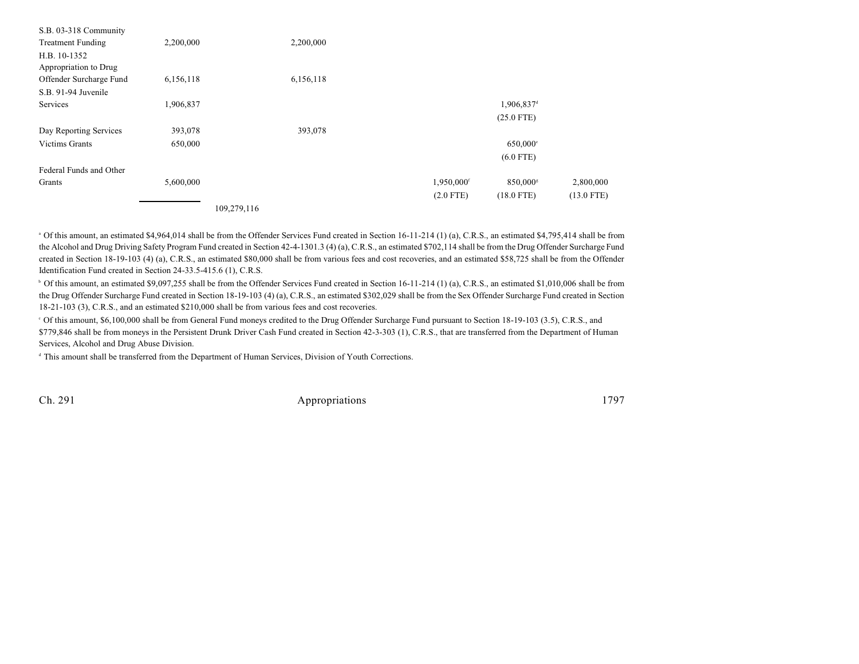| S.B. 03-318 Community    |           |             |             |                        |              |
|--------------------------|-----------|-------------|-------------|------------------------|--------------|
| <b>Treatment Funding</b> | 2,200,000 | 2,200,000   |             |                        |              |
| H.B. 10-1352             |           |             |             |                        |              |
| Appropriation to Drug    |           |             |             |                        |              |
| Offender Surcharge Fund  | 6,156,118 | 6,156,118   |             |                        |              |
| S.B. 91-94 Juvenile      |           |             |             |                        |              |
| Services                 | 1,906,837 |             |             | 1,906,837 <sup>d</sup> |              |
|                          |           |             |             | $(25.0$ FTE)           |              |
| Day Reporting Services   | 393,078   | 393,078     |             |                        |              |
| <b>Victims Grants</b>    | 650,000   |             |             | $650,000$ °            |              |
|                          |           |             |             | $(6.0$ FTE)            |              |
| Federal Funds and Other  |           |             |             |                        |              |
| Grants                   | 5,600,000 |             | 1,950,000f  | 850,000s               | 2,800,000    |
|                          |           |             | $(2.0$ FTE) | $(18.0$ FTE)           | $(13.0$ FTE) |
|                          |           | 109,279,116 |             |                        |              |

 $^{\circ}$  Of this amount, an estimated \$4,964,014 shall be from the Offender Services Fund created in Section 16-11-214 (1) (a), C.R.S., an estimated \$4,795,414 shall be from the Alcohol and Drug Driving Safety Program Fund created in Section 42-4-1301.3 (4) (a), C.R.S., an estimated \$702,114 shall be from the Drug Offender Surcharge Fund created in Section 18-19-103 (4) (a), C.R.S., an estimated \$80,000 shall be from various fees and cost recoveries, and an estimated \$58,725 shall be from the Offender Identification Fund created in Section 24-33.5-415.6 (1), C.R.S.

<sup>b</sup> Of this amount, an estimated \$9,097,255 shall be from the Offender Services Fund created in Section 16-11-214 (1) (a), C.R.S., an estimated \$1,010,006 shall be from the Drug Offender Surcharge Fund created in Section 18-19-103 (4) (a), C.R.S., an estimated \$302,029 shall be from the Sex Offender Surcharge Fund created in Section 18-21-103 (3), C.R.S., and an estimated \$210,000 shall be from various fees and cost recoveries.

 Of this amount, \$6,100,000 shall be from General Fund moneys credited to the Drug Offender Surcharge Fund pursuant to Section 18-19-103 (3.5), C.R.S., and <sup>c</sup> \$779,846 shall be from moneys in the Persistent Drunk Driver Cash Fund created in Section 42-3-303 (1), C.R.S., that are transferred from the Department of Human Services, Alcohol and Drug Abuse Division.

<sup>d</sup> This amount shall be transferred from the Department of Human Services, Division of Youth Corrections.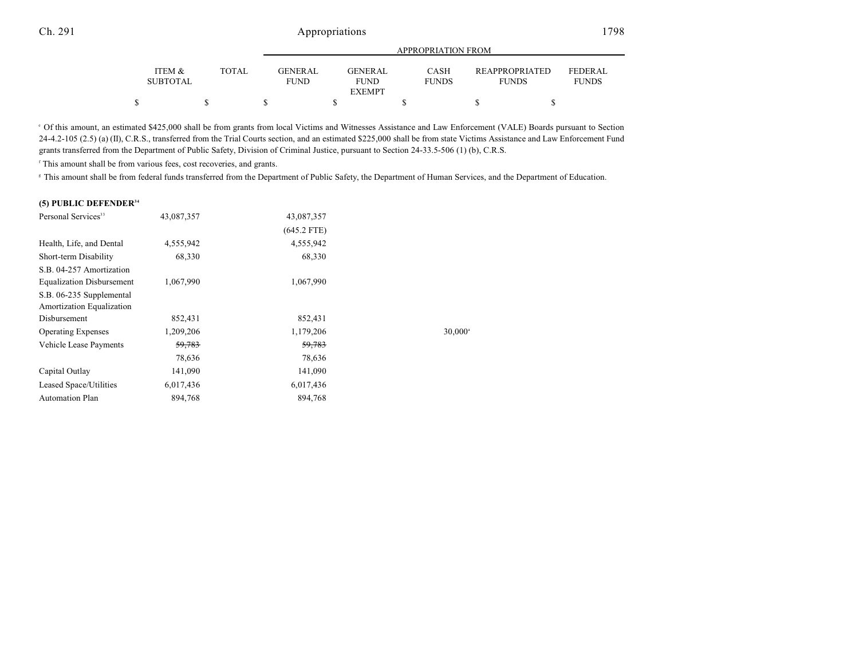|                                      |              | APPROPRIATION FROM            |                        |                             |                                       |                                |  |  |  |
|--------------------------------------|--------------|-------------------------------|------------------------|-----------------------------|---------------------------------------|--------------------------------|--|--|--|
| <b>ITEM &amp;</b><br><b>SUBTOTAL</b> | <b>TOTAL</b> | <b>GENERAL</b><br><b>FUND</b> | GENERAL<br><b>FUND</b> | <b>CASH</b><br><b>FUNDS</b> | <b>REAPPROPRIATED</b><br><b>FUNDS</b> | <b>FEDERAL</b><br><b>FUNDS</b> |  |  |  |
|                                      |              |                               | <b>EXEMPT</b>          |                             |                                       |                                |  |  |  |
|                                      |              |                               |                        |                             |                                       |                                |  |  |  |

Of this amount, an estimated \$425,000 shall be from grants from local Victims and Witnesses Assistance and Law Enforcement (VALE) Boards pursuant to Section <sup>e</sup> 24-4.2-105 (2.5) (a) (II), C.R.S., transferred from the Trial Courts section, and an estimated \$225,000 shall be from state Victims Assistance and Law Enforcement Fund grants transferred from the Department of Public Safety, Division of Criminal Justice, pursuant to Section 24-33.5-506 (1) (b), C.R.S.

<sup>f</sup> This amount shall be from various fees, cost recoveries, and grants.

<sup>#</sup> This amount shall be from federal funds transferred from the Department of Public Safety, the Department of Human Services, and the Department of Education.

#### **(5) PUBLIC DEFENDER 34**

| Personal Services <sup>33</sup>  | 43,087,357 | 43,087,357    |                  |
|----------------------------------|------------|---------------|------------------|
|                                  |            | $(645.2$ FTE) |                  |
| Health, Life, and Dental         | 4,555,942  | 4,555,942     |                  |
| Short-term Disability            | 68,330     | 68,330        |                  |
| S.B. 04-257 Amortization         |            |               |                  |
| <b>Equalization Disbursement</b> | 1,067,990  | 1,067,990     |                  |
| S.B. 06-235 Supplemental         |            |               |                  |
| Amortization Equalization        |            |               |                  |
| Disbursement                     | 852,431    | 852,431       |                  |
| <b>Operating Expenses</b>        | 1,209,206  | 1,179,206     | $30,000^{\circ}$ |
| Vehicle Lease Payments           | 59,783     | 59,783        |                  |
|                                  | 78,636     | 78,636        |                  |
| Capital Outlay                   | 141,090    | 141,090       |                  |
| Leased Space/Utilities           | 6,017,436  | 6,017,436     |                  |
| <b>Automation Plan</b>           | 894,768    | 894,768       |                  |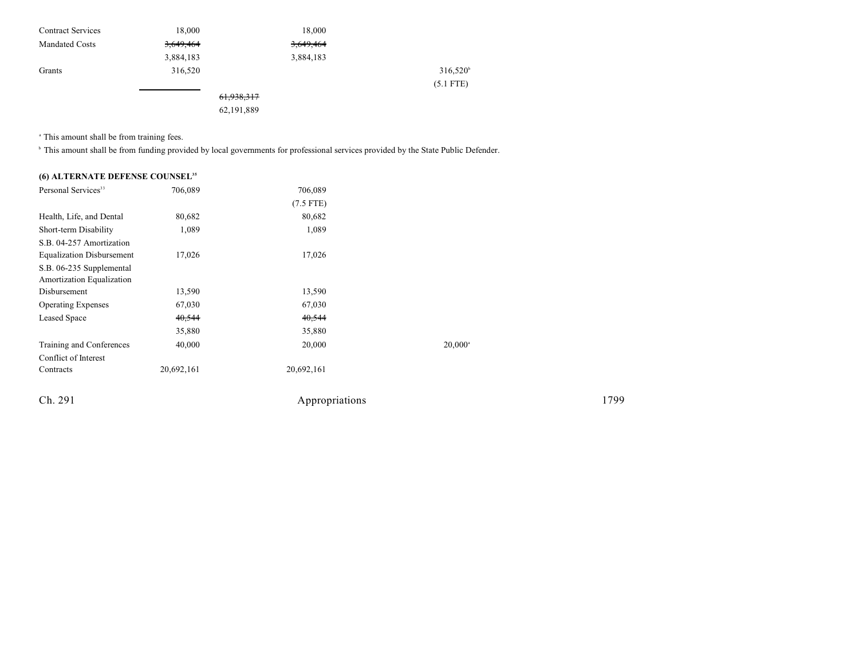| <b>Contract Services</b> | 18,000    | 18,000                |                   |
|--------------------------|-----------|-----------------------|-------------------|
| <b>Mandated Costs</b>    | 3,649,464 | 3,649,464             |                   |
|                          | 3,884,183 | 3,884,183             |                   |
| Grants                   | 316,520   |                       | $316,520^{\circ}$ |
|                          |           |                       | $(5.1$ FTE)       |
|                          |           | <del>61,938,317</del> |                   |
|                          |           | .                     |                   |

62,191,889

<sup>a</sup> This amount shall be from training fees.

<sup>b</sup> This amount shall be from funding provided by local governments for professional services provided by the State Public Defender.

### **(6) ALTERNATE DEFENSE COUNSEL 35**

| Personal Services <sup>33</sup>                       | 706,089    | 706,089        |                  |      |
|-------------------------------------------------------|------------|----------------|------------------|------|
|                                                       |            | $(7.5$ FTE)    |                  |      |
| Health, Life, and Dental                              | 80,682     | 80,682         |                  |      |
| Short-term Disability                                 | 1,089      | 1,089          |                  |      |
| S.B. 04-257 Amortization                              |            |                |                  |      |
| <b>Equalization Disbursement</b>                      | 17,026     | 17,026         |                  |      |
| S.B. 06-235 Supplemental<br>Amortization Equalization |            |                |                  |      |
| Disbursement                                          | 13,590     | 13,590         |                  |      |
| <b>Operating Expenses</b>                             | 67,030     | 67,030         |                  |      |
| <b>Leased Space</b>                                   | 40,544     | 40,544         |                  |      |
|                                                       | 35,880     | 35,880         |                  |      |
| Training and Conferences                              | 40,000     | 20,000         | $20,000^{\circ}$ |      |
| Conflict of Interest                                  |            |                |                  |      |
| Contracts                                             | 20,692,161 | 20,692,161     |                  |      |
| Ch. 291                                               |            | Appropriations |                  | 1799 |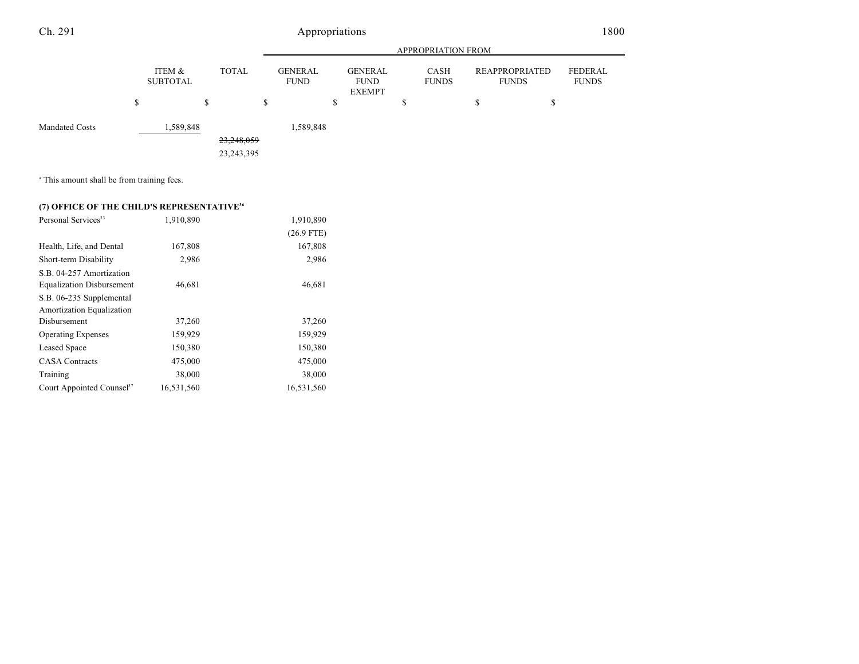#### APPROPRIATION FROM ITEM & SUBTOTAL TOTAL GENERAL FUND GENERAL FUND EXEMPT CASH FUNDS REAPPROPRIATED FUNDS FEDERAL FUNDS  $\begin{array}{ccccccccccc} \texttt{S} & \texttt{S} & \texttt{S} & \texttt{S} & \texttt{S} & \texttt{S} & \texttt{S} & \texttt{S} & \texttt{S} & \texttt{S} & \texttt{S} & \texttt{S} & \texttt{S} & \texttt{S} & \texttt{S} & \texttt{S} & \texttt{S} & \texttt{S} & \texttt{S} & \texttt{S} & \texttt{S} & \texttt{S} & \texttt{S} & \texttt{S} & \texttt{S} & \texttt{S} & \texttt{S} & \texttt{S} & \texttt{S} & \texttt{S} & \$ Ch. 291 Appropriations 1800 Mandated Costs 1,589,848 1,589,848 23,248,059 23,243,395

<sup>a</sup> This amount shall be from training fees.

### **(7) OFFICE OF THE CHILD'S REPRESENTATIVE<sup>36</sup>**

| Personal Services <sup>33</sup>       | 1,910,890  | 1,910,890    |  |
|---------------------------------------|------------|--------------|--|
|                                       |            | $(26.9$ FTE) |  |
| Health, Life, and Dental              | 167,808    | 167,808      |  |
| Short-term Disability                 | 2,986      | 2,986        |  |
| S.B. 04-257 Amortization              |            |              |  |
| <b>Equalization Disbursement</b>      | 46,681     | 46,681       |  |
| S.B. 06-235 Supplemental              |            |              |  |
| Amortization Equalization             |            |              |  |
| Disbursement                          | 37,260     | 37,260       |  |
| <b>Operating Expenses</b>             | 159,929    | 159,929      |  |
| <b>Leased Space</b>                   | 150,380    | 150,380      |  |
| <b>CASA Contracts</b>                 | 475,000    | 475,000      |  |
| Training                              | 38,000     | 38,000       |  |
| Court Appointed Counsel <sup>37</sup> | 16.531.560 | 16,531,560   |  |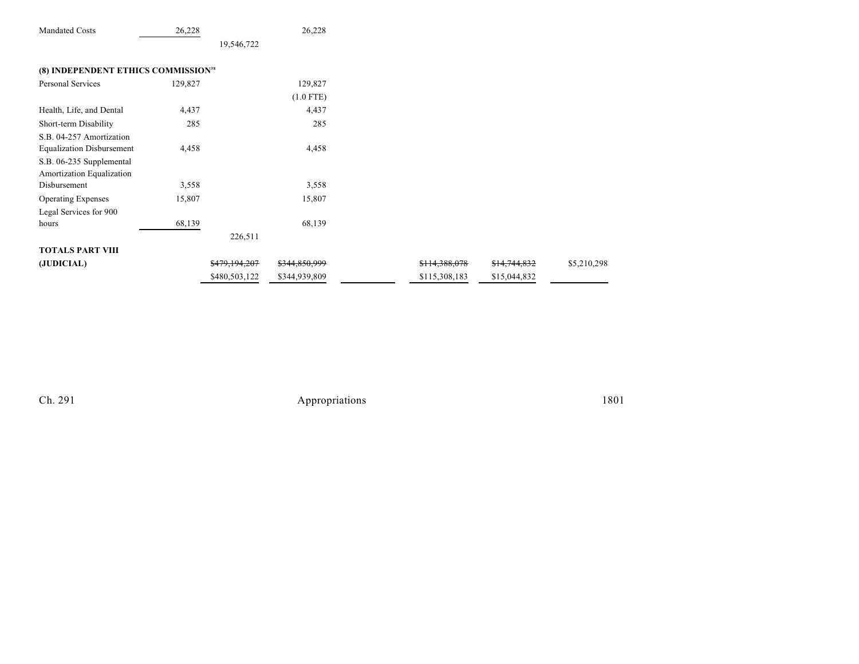| <b>Mandated Costs</b>                           | 26,228  |               | 26,228        |               |              |             |
|-------------------------------------------------|---------|---------------|---------------|---------------|--------------|-------------|
|                                                 |         | 19,546,722    |               |               |              |             |
| (8) INDEPENDENT ETHICS COMMISSION <sup>38</sup> |         |               |               |               |              |             |
|                                                 |         |               |               |               |              |             |
| Personal Services                               | 129,827 |               | 129,827       |               |              |             |
|                                                 |         |               | $(1.0$ FTE)   |               |              |             |
| Health, Life, and Dental                        | 4,437   |               | 4,437         |               |              |             |
| Short-term Disability                           | 285     |               | 285           |               |              |             |
| S.B. 04-257 Amortization                        |         |               |               |               |              |             |
| <b>Equalization Disbursement</b>                | 4,458   |               | 4,458         |               |              |             |
| S.B. 06-235 Supplemental                        |         |               |               |               |              |             |
| Amortization Equalization                       |         |               |               |               |              |             |
| Disbursement                                    | 3,558   |               | 3,558         |               |              |             |
| <b>Operating Expenses</b>                       | 15,807  |               | 15,807        |               |              |             |
| Legal Services for 900                          |         |               |               |               |              |             |
| hours                                           | 68,139  |               | 68,139        |               |              |             |
|                                                 |         | 226,511       |               |               |              |             |
| <b>TOTALS PART VIII</b>                         |         |               |               |               |              |             |
| (JUDICIAL)                                      |         | \$479,194,207 | \$344,850,999 | \$114,388,078 | \$14,744,832 | \$5,210,298 |
|                                                 |         | \$480,503,122 | \$344,939,809 | \$115,308,183 | \$15,044,832 |             |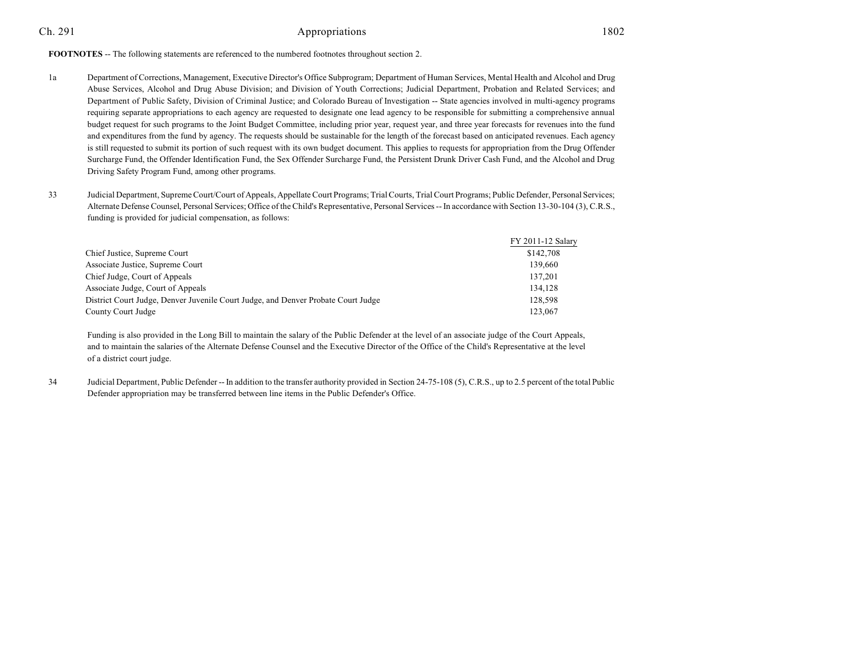#### **FOOTNOTES** -- The following statements are referenced to the numbered footnotes throughout section 2.

- 1a Department of Corrections, Management, Executive Director's Office Subprogram; Department of Human Services, Mental Health and Alcohol and Drug Abuse Services, Alcohol and Drug Abuse Division; and Division of Youth Corrections; Judicial Department, Probation and Related Services; and Department of Public Safety, Division of Criminal Justice; and Colorado Bureau of Investigation -- State agencies involved in multi-agency programs requiring separate appropriations to each agency are requested to designate one lead agency to be responsible for submitting a comprehensive annual budget request for such programs to the Joint Budget Committee, including prior year, request year, and three year forecasts for revenues into the fund and expenditures from the fund by agency. The requests should be sustainable for the length of the forecast based on anticipated revenues. Each agency is still requested to submit its portion of such request with its own budget document. This applies to requests for appropriation from the Drug Offender Surcharge Fund, the Offender Identification Fund, the Sex Offender Surcharge Fund, the Persistent Drunk Driver Cash Fund, and the Alcohol and Drug Driving Safety Program Fund, among other programs.
- 33 Judicial Department, SupremeCourt/Court of Appeals, Appellate Court Programs; Trial Courts, Trial Court Programs; Public Defender, Personal Services; Alternate Defense Counsel, Personal Services; Office of the Child's Representative, Personal Services -- In accordance with Section 13-30-104 (3), C.R.S., funding is provided for judicial compensation, as follows:

|                                                                                   | FY 2011-12 Salary |
|-----------------------------------------------------------------------------------|-------------------|
| Chief Justice, Supreme Court                                                      | \$142,708         |
| Associate Justice, Supreme Court                                                  | 139,660           |
| Chief Judge, Court of Appeals                                                     | 137,201           |
| Associate Judge, Court of Appeals                                                 | 134,128           |
| District Court Judge, Denver Juvenile Court Judge, and Denver Probate Court Judge | 128,598           |
| County Court Judge                                                                | 123,067           |

Funding is also provided in the Long Bill to maintain the salary of the Public Defender at the level of an associate judge of the Court Appeals, and to maintain the salaries of the Alternate Defense Counsel and the Executive Director of the Office of the Child's Representative at the level of a district court judge.

34 Judicial Department, Public Defender -- In addition to the transfer authority provided in Section 24-75-108 (5), C.R.S., up to 2.5 percent of the total Public Defender appropriation may be transferred between line items in the Public Defender's Office.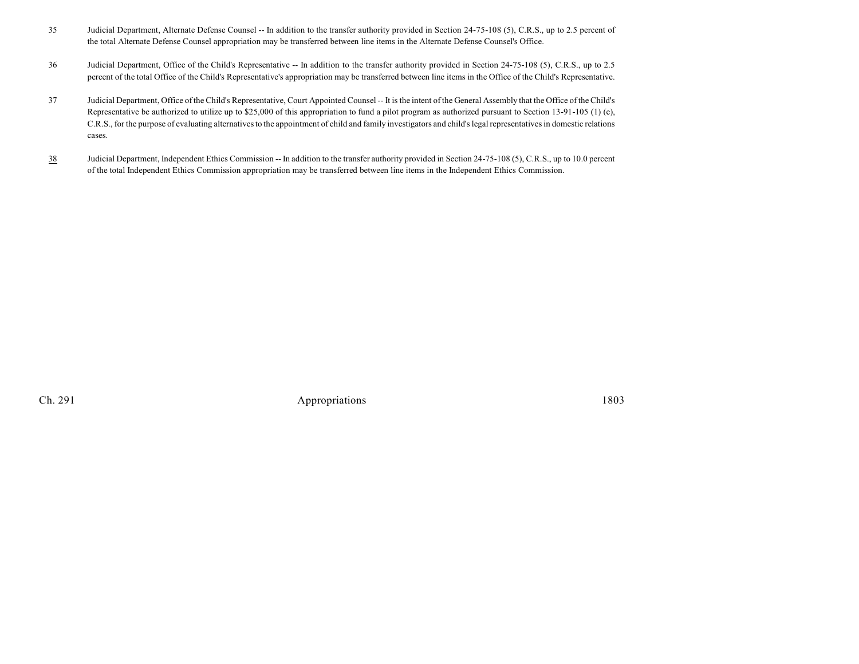- 35 Judicial Department, Alternate Defense Counsel -- In addition to the transfer authority provided in Section 24-75-108 (5), C.R.S., up to 2.5 percent of the total Alternate Defense Counsel appropriation may be transferred between line items in the Alternate Defense Counsel's Office.
- 36 Judicial Department, Office of the Child's Representative -- In addition to the transfer authority provided in Section 24-75-108 (5), C.R.S., up to 2.5 percent of the total Office of the Child's Representative's appropriation may be transferred between line items in the Office of the Child's Representative.
- 37 Judicial Department, Office of the Child's Representative, Court Appointed Counsel -- It is the intent of the General Assembly that the Office of the Child's Representative be authorized to utilize up to \$25,000 of this appropriation to fund a pilot program as authorized pursuant to Section 13-91-105 (1) (e), C.R.S., for the purpose of evaluating alternatives to the appointment of child and family investigators and child's legal representatives in domestic relations cases.
- 38 Judicial Department, Independent Ethics Commission -- In addition to the transfer authority provided in Section 24-75-108 (5), C.R.S., up to 10.0 percent of the total Independent Ethics Commission appropriation may be transferred between line items in the Independent Ethics Commission.